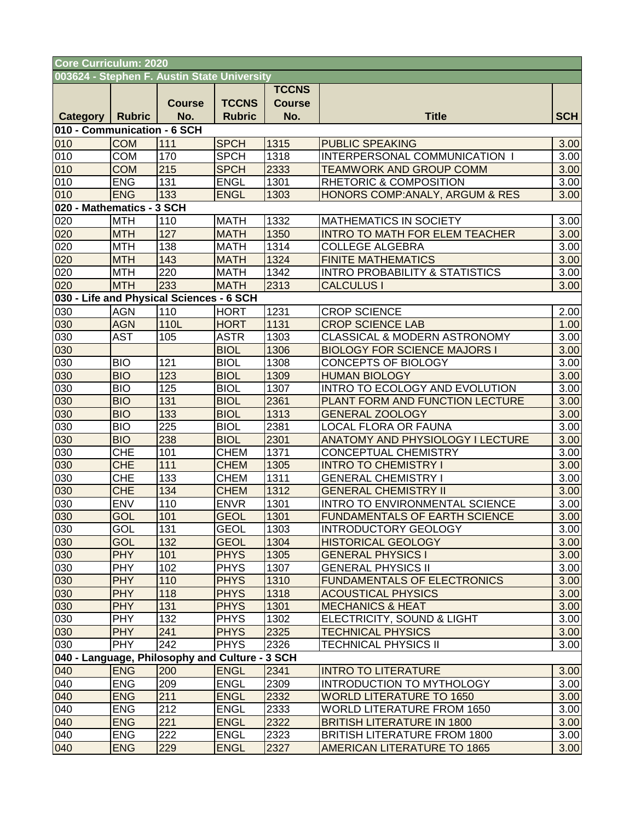| <b>Core Curriculum: 2020</b>                |                                                |                                          |               |               |                                           |            |  |  |  |  |  |
|---------------------------------------------|------------------------------------------------|------------------------------------------|---------------|---------------|-------------------------------------------|------------|--|--|--|--|--|
| 003624 - Stephen F. Austin State University |                                                |                                          |               |               |                                           |            |  |  |  |  |  |
|                                             |                                                |                                          |               | <b>TCCNS</b>  |                                           |            |  |  |  |  |  |
|                                             |                                                | <b>Course</b>                            | <b>TCCNS</b>  | <b>Course</b> |                                           |            |  |  |  |  |  |
| <b>Category   Rubric</b>                    |                                                | No.                                      | <b>Rubric</b> | No.           | <b>Title</b>                              | <b>SCH</b> |  |  |  |  |  |
| 010 - Communication - 6 SCH                 |                                                |                                          |               |               |                                           |            |  |  |  |  |  |
| 010                                         | <b>COM</b>                                     | 111                                      | <b>SPCH</b>   | 1315          | <b>PUBLIC SPEAKING</b>                    | 3.00       |  |  |  |  |  |
| 010                                         | <b>COM</b>                                     | 170                                      | <b>SPCH</b>   | 1318          | INTERPERSONAL COMMUNICATION I             | 3.00       |  |  |  |  |  |
| 010                                         | <b>COM</b>                                     | 215                                      | <b>SPCH</b>   | 2333          | <b>TEAMWORK AND GROUP COMM</b>            | 3.00       |  |  |  |  |  |
| 010                                         | <b>ENG</b>                                     | 131                                      | <b>ENGL</b>   | 1301          | RHETORIC & COMPOSITION                    | 3.00       |  |  |  |  |  |
| 010                                         | <b>ENG</b>                                     | 133                                      | <b>ENGL</b>   | 1303          | HONORS COMP: ANALY, ARGUM & RES           | 3.00       |  |  |  |  |  |
| 020 - Mathematics - 3 SCH                   |                                                |                                          |               |               |                                           |            |  |  |  |  |  |
| 020                                         | <b>MTH</b>                                     | 110                                      | <b>MATH</b>   | 1332          | MATHEMATICS IN SOCIETY                    | 3.00       |  |  |  |  |  |
| 020                                         | <b>MTH</b>                                     | 127                                      | <b>MATH</b>   | 1350          | <b>INTRO TO MATH FOR ELEM TEACHER</b>     | 3.00       |  |  |  |  |  |
| 020                                         | <b>MTH</b>                                     | 138                                      | <b>MATH</b>   | 1314          | <b>COLLEGE ALGEBRA</b>                    | 3.00       |  |  |  |  |  |
| 020                                         | <b>MTH</b>                                     | 143                                      | <b>MATH</b>   | 1324          | <b>FINITE MATHEMATICS</b>                 | 3.00       |  |  |  |  |  |
| 020                                         | <b>MTH</b><br><b>MTH</b>                       | 220<br>233                               | <b>MATH</b>   | 1342          | <b>INTRO PROBABILITY &amp; STATISTICS</b> | 3.00       |  |  |  |  |  |
| 020                                         |                                                |                                          | <b>MATH</b>   | 2313          | <b>CALCULUS I</b>                         | 3.00       |  |  |  |  |  |
|                                             |                                                | 030 - Life and Physical Sciences - 6 SCH |               |               |                                           |            |  |  |  |  |  |
| 030                                         | <b>AGN</b>                                     | 110                                      | <b>HORT</b>   | 1231          | <b>CROP SCIENCE</b>                       | 2.00       |  |  |  |  |  |
| 030                                         | <b>AGN</b>                                     | 110L                                     | <b>HORT</b>   | 1131          | <b>CROP SCIENCE LAB</b>                   | 1.00       |  |  |  |  |  |
| 030                                         | <b>AST</b>                                     | 105                                      | <b>ASTR</b>   | 1303          | <b>CLASSICAL &amp; MODERN ASTRONOMY</b>   | 3.00       |  |  |  |  |  |
| 030                                         |                                                |                                          | <b>BIOL</b>   | 1306          | <b>BIOLOGY FOR SCIENCE MAJORS I</b>       | 3.00       |  |  |  |  |  |
| 030                                         | <b>BIO</b>                                     | 121                                      | <b>BIOL</b>   | 1308          | CONCEPTS OF BIOLOGY                       | 3.00       |  |  |  |  |  |
| 030                                         | <b>BIO</b>                                     | 123                                      | <b>BIOL</b>   | 1309          | <b>HUMAN BIOLOGY</b>                      | 3.00       |  |  |  |  |  |
| 030                                         | <b>BIO</b>                                     | 125                                      | <b>BIOL</b>   | 1307          | INTRO TO ECOLOGY AND EVOLUTION            | 3.00       |  |  |  |  |  |
| 030                                         | <b>BIO</b>                                     | 131                                      | <b>BIOL</b>   | 2361          | PLANT FORM AND FUNCTION LECTURE           | 3.00       |  |  |  |  |  |
| 030                                         | <b>BIO</b>                                     | 133                                      | <b>BIOL</b>   | 1313          | <b>GENERAL ZOOLOGY</b>                    | 3.00       |  |  |  |  |  |
| 030                                         | <b>BIO</b>                                     | 225                                      | <b>BIOL</b>   | 2381          | <b>LOCAL FLORA OR FAUNA</b>               | 3.00       |  |  |  |  |  |
| 030                                         | <b>BIO</b>                                     | 238                                      | <b>BIOL</b>   | 2301          | <b>ANATOMY AND PHYSIOLOGY I LECTURE</b>   | 3.00       |  |  |  |  |  |
| 030                                         | <b>CHE</b>                                     | 101                                      | <b>CHEM</b>   | 1371          | CONCEPTUAL CHEMISTRY                      | 3.00       |  |  |  |  |  |
| 030                                         | <b>CHE</b>                                     | 111                                      | <b>CHEM</b>   | 1305          | <b>INTRO TO CHEMISTRY I</b>               | 3.00       |  |  |  |  |  |
| 030                                         | <b>CHE</b>                                     | 133                                      | <b>CHEM</b>   | 1311          | <b>GENERAL CHEMISTRY I</b>                | 3.00       |  |  |  |  |  |
| 030                                         | <b>CHE</b>                                     | 134                                      | <b>CHEM</b>   | 1312          | <b>GENERAL CHEMISTRY II</b>               | 3.00       |  |  |  |  |  |
| 030                                         | <b>ENV</b>                                     | 110                                      | <b>ENVR</b>   | 1301          | INTRO TO ENVIRONMENTAL SCIENCE            | 3.00       |  |  |  |  |  |
| 030                                         | <b>GOL</b>                                     | 101                                      | <b>GEOL</b>   | 1301          | <b>FUNDAMENTALS OF EARTH SCIENCE</b>      | 3.00       |  |  |  |  |  |
| 030                                         | GOL                                            | 131                                      | <b>GEOL</b>   | 1303          | <b>INTRODUCTORY GEOLOGY</b>               | 3.00       |  |  |  |  |  |
| 030                                         | <b>GOL</b>                                     | 132                                      | <b>GEOL</b>   | 1304          | <b>HISTORICAL GEOLOGY</b>                 | 3.00       |  |  |  |  |  |
| 030                                         | <b>PHY</b>                                     | 101                                      | <b>PHYS</b>   | 1305          | <b>GENERAL PHYSICS I</b>                  | 3.00       |  |  |  |  |  |
| 030                                         | <b>PHY</b>                                     | 102                                      | <b>PHYS</b>   | 1307          | <b>GENERAL PHYSICS II</b>                 | 3.00       |  |  |  |  |  |
| 030                                         | <b>PHY</b>                                     | 110                                      | <b>PHYS</b>   | 1310          | <b>FUNDAMENTALS OF ELECTRONICS</b>        | 3.00       |  |  |  |  |  |
| 030                                         | <b>PHY</b>                                     | 118                                      | <b>PHYS</b>   | 1318          | <b>ACOUSTICAL PHYSICS</b>                 | 3.00       |  |  |  |  |  |
| 030                                         | <b>PHY</b>                                     | 131                                      | <b>PHYS</b>   | 1301          | <b>MECHANICS &amp; HEAT</b>               | 3.00       |  |  |  |  |  |
| 030                                         | <b>PHY</b>                                     | 132                                      | <b>PHYS</b>   | 1302          | ELECTRICITY, SOUND & LIGHT                | 3.00       |  |  |  |  |  |
| 030                                         | <b>PHY</b>                                     | 241                                      | <b>PHYS</b>   | 2325          | <b>TECHNICAL PHYSICS</b>                  | 3.00       |  |  |  |  |  |
| 030                                         | <b>PHY</b>                                     | 242                                      | <b>PHYS</b>   | 2326          | <b>TECHNICAL PHYSICS II</b>               | 3.00       |  |  |  |  |  |
|                                             | 040 - Language, Philosophy and Culture - 3 SCH |                                          |               |               |                                           |            |  |  |  |  |  |
| 040                                         | <b>ENG</b>                                     | 200                                      | <b>ENGL</b>   | 2341          | <b>INTRO TO LITERATURE</b>                | 3.00       |  |  |  |  |  |
| 040                                         | <b>ENG</b>                                     | 209                                      | <b>ENGL</b>   | 2309          | INTRODUCTION TO MYTHOLOGY                 | 3.00       |  |  |  |  |  |
| 040                                         | <b>ENG</b>                                     | 211                                      | <b>ENGL</b>   | 2332          | <b>WORLD LITERATURE TO 1650</b>           | 3.00       |  |  |  |  |  |
| 040                                         | <b>ENG</b>                                     | 212                                      | <b>ENGL</b>   | 2333          | <b>WORLD LITERATURE FROM 1650</b>         | 3.00       |  |  |  |  |  |
| 040                                         | <b>ENG</b>                                     | 221                                      | <b>ENGL</b>   | 2322          | <b>BRITISH LITERATURE IN 1800</b>         | 3.00       |  |  |  |  |  |
| 040                                         | <b>ENG</b>                                     | 222                                      | <b>ENGL</b>   | 2323          | <b>BRITISH LITERATURE FROM 1800</b>       | 3.00       |  |  |  |  |  |
| 040                                         | <b>ENG</b>                                     | 229                                      | <b>ENGL</b>   | 2327          | <b>AMERICAN LITERATURE TO 1865</b>        | 3.00       |  |  |  |  |  |